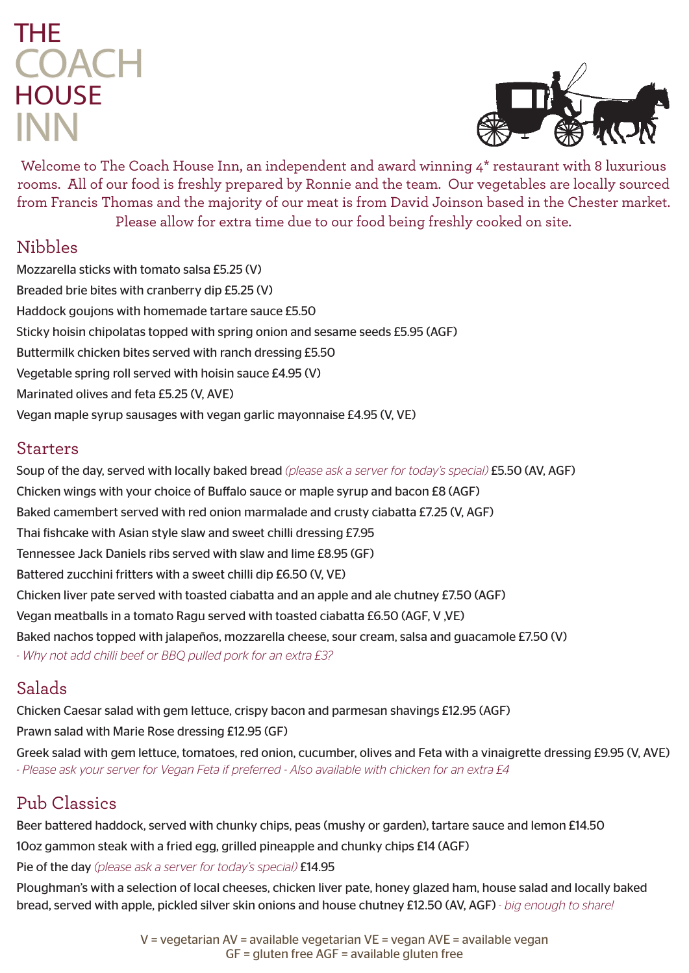# **HOUSE** THE **COACH** INN



Welcome to The Coach House Inn, an independent and award winning 4<sup>\*</sup> restaurant with 8 luxurious rooms. All of our food is freshly prepared by Ronnie and the team. Our vegetables are locally sourced from Francis Thomas and the majority of our meat is from David Joinson based in the Chester market. Please allow for extra time due to our food being freshly cooked on site.

### Nibbles

Mozzarella sticks with tomato salsa £5.25 (V) Breaded brie bites with cranberry dip £5.25 (V) Haddock goujons with homemade tartare sauce £5.50 Sticky hoisin chipolatas topped with spring onion and sesame seeds £5.95 (AGF) Buttermilk chicken bites served with ranch dressing £5.50 Vegetable spring roll served with hoisin sauce £4.95 (V) Marinated olives and feta £5.25 (V, AVE) Vegan maple syrup sausages with vegan garlic mayonnaise £4.95 (V, VE)

#### Starters

Soup of the day, served with locally baked bread *(please ask a server for today's special)* £5.50 (AV, AGF) Chicken wings with your choice of Buffalo sauce or maple syrup and bacon £8 (AGF) Baked camembert served with red onion marmalade and crusty ciabatta £7.25 (V, AGF) Thai fishcake with Asian style slaw and sweet chilli dressing £7.95 Tennessee Jack Daniels ribs served with slaw and lime £8.95 (GF) Battered zucchini fritters with a sweet chilli dip £6.50 (V, VE) Chicken liver pate served with toasted ciabatta and an apple and ale chutney £7.50 (AGF) Vegan meatballs in a tomato Ragu served with toasted ciabatta £6.50 (AGF, V ,VE) Baked nachos topped with jalapeños, mozzarella cheese, sour cream, salsa and guacamole £7.50 (V) *- Why not add chilli beef or BBQ pulled pork for an extra £3?* 

### Salads

Chicken Caesar salad with gem lettuce, crispy bacon and parmesan shavings £12.95 (AGF) Prawn salad with Marie Rose dressing £12.95 (GF) Greek salad with gem lettuce, tomatoes, red onion, cucumber, olives and Feta with a vinaigrette dressing £9.95 (V, AVE) *- Please ask your server for Vegan Feta if preferred - Also available with chicken for an extra £4*

## Pub Classics

Beer battered haddock, served with chunky chips, peas (mushy or garden), tartare sauce and lemon £14.50 10oz gammon steak with a fried egg, grilled pineapple and chunky chips £14 (AGF) Pie of the day *(please ask a server for today's special)* £14.95

Ploughman's with a selection of local cheeses, chicken liver pate, honey glazed ham, house salad and locally baked bread, served with apple, pickled silver skin onions and house chutney £12.50 (AV, AGF) *- big enough to share!*

> V = vegetarian AV = available vegetarian VE = vegan AVE = available vegan GF = gluten free AGF = available gluten free